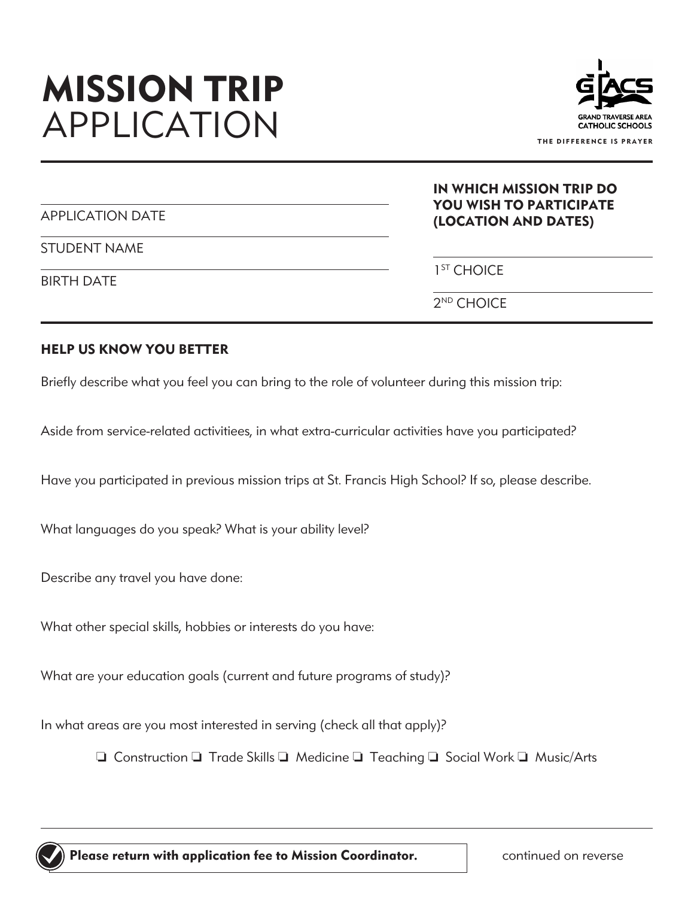# **MISSION TRIP** APPLICATION



IN WHICH MISSION TRIP DO **DI** 

|                   | IN WHICH MISSION TRIP DO<br><b>YOU WISH TO PARTICIPATE</b> |
|-------------------|------------------------------------------------------------|
| APPLICATION DATE  | (LOCATION AND DATES)                                       |
| STUDENT NAME      |                                                            |
| <b>BIRTH DATE</b> | 1 <sup>ST</sup> CHOICE                                     |
|                   | $2^{ND}$ CHOICE                                            |

### **HELP US KNOW YOU BETTER**

Briefly describe what you feel you can bring to the role of volunteer during this mission trip:

Aside from service-related activitiees, in what extra-curricular activities have you participated?

Have you participated in previous mission trips at St. Francis High School? If so, please describe.

What languages do you speak? What is your ability level?

Describe any travel you have done:

What other special skills, hobbies or interests do you have:

What are your education goals (current and future programs of study)?

In what areas are you most interested in serving (check all that apply)?

 $\Box$  Construction  $\Box$  Trade Skills  $\Box$  Medicine  $\Box$  Teaching  $\Box$  Social Work  $\Box$  Music/Arts



 **Please return with application fee to Mission Coordinator.**

continued on reverse